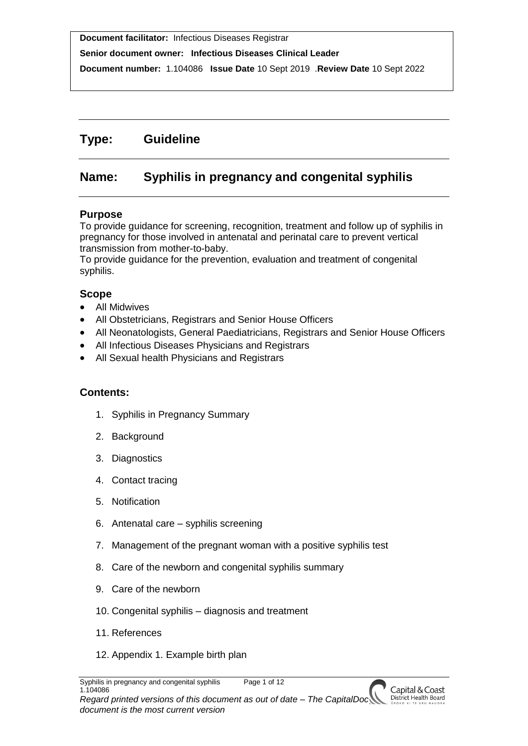**Senior document owner: Infectious Diseases Clinical Leader**

**Document number:** 1.104086 **Issue Date** 10 Sept 2019 .**Review Date** 10 Sept 2022

## **Type: Guideline**

## **Name: Syphilis in pregnancy and congenital syphilis**

## **Purpose**

To provide guidance for screening, recognition, treatment and follow up of syphilis in pregnancy for those involved in antenatal and perinatal care to prevent vertical transmission from mother-to-baby.

To provide guidance for the prevention, evaluation and treatment of congenital syphilis.

## **Scope**

- All Midwives
- All Obstetricians, Registrars and Senior House Officers
- All Neonatologists, General Paediatricians, Registrars and Senior House Officers
- All Infectious Diseases Physicians and Registrars
- All Sexual health Physicians and Registrars

## **Contents:**

- 1. Syphilis in Pregnancy Summary
- 2. Background
- 3. Diagnostics
- 4. Contact tracing
- 5. Notification
- 6. Antenatal care syphilis screening
- 7. Management of the pregnant woman with a positive syphilis test
- 8. Care of the newborn and congenital syphilis summary
- 9. Care of the newborn
- 10. Congenital syphilis diagnosis and treatment
- 11. References
- 12. Appendix 1. Example birth plan

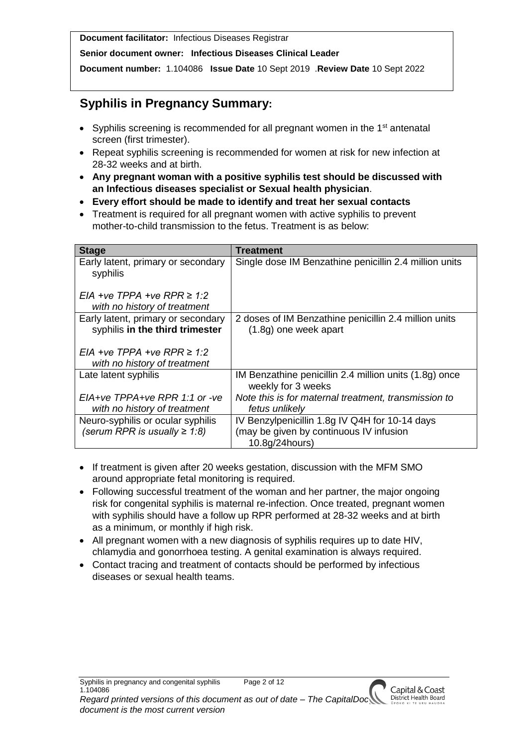**Senior document owner: Infectious Diseases Clinical Leader**

**Document number:** 1.104086 **Issue Date** 10 Sept 2019 .**Review Date** 10 Sept 2022

# **Syphilis in Pregnancy Summary:**

- Syphilis screening is recommended for all pregnant women in the 1<sup>st</sup> antenatal screen (first trimester).
- Repeat syphilis screening is recommended for women at risk for new infection at 28-32 weeks and at birth.
- **Any pregnant woman with a positive syphilis test should be discussed with an Infectious diseases specialist or Sexual health physician**.
- **Every effort should be made to identify and treat her sexual contacts**
- Treatment is required for all pregnant women with active syphilis to prevent mother-to-child transmission to the fetus. Treatment is as below:

| <b>Stage</b>                                                            | <b>Treatment</b>                                                                                            |
|-------------------------------------------------------------------------|-------------------------------------------------------------------------------------------------------------|
| Early latent, primary or secondary<br>syphilis                          | Single dose IM Benzathine penicillin 2.4 million units                                                      |
| EIA +ve TPPA +ve RPR $\geq 1.2$<br>with no history of treatment         |                                                                                                             |
| Early latent, primary or secondary<br>syphilis in the third trimester   | 2 doses of IM Benzathine penicillin 2.4 million units<br>$(1.8g)$ one week apart                            |
| EIA +ve TPPA +ve RPR $\geq 1.2$<br>with no history of treatment         |                                                                                                             |
| Late latent syphilis                                                    | IM Benzathine penicillin 2.4 million units (1.8g) once<br>weekly for 3 weeks                                |
| $EIA+ve$ TPPA+ve RPR 1:1 or -ve<br>with no history of treatment         | Note this is for maternal treatment, transmission to<br>fetus unlikelv                                      |
| Neuro-syphilis or ocular syphilis<br>(serum RPR is usually $\geq 1.8$ ) | IV Benzylpenicillin 1.8g IV Q4H for 10-14 days<br>(may be given by continuous IV infusion<br>10.8g/24hours) |

- If treatment is given after 20 weeks gestation, discussion with the MFM SMO around appropriate fetal monitoring is required.
- Following successful treatment of the woman and her partner, the major ongoing risk for congenital syphilis is maternal re-infection. Once treated, pregnant women with syphilis should have a follow up RPR performed at 28-32 weeks and at birth as a minimum, or monthly if high risk.
- All pregnant women with a new diagnosis of syphilis requires up to date HIV. chlamydia and gonorrhoea testing. A genital examination is always required.
- Contact tracing and treatment of contacts should be performed by infectious diseases or sexual health teams.

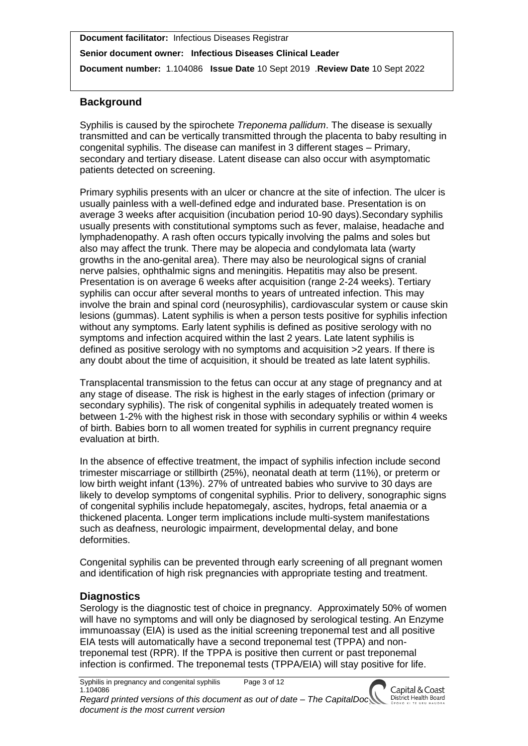**Senior document owner: Infectious Diseases Clinical Leader**

**Document number:** 1.104086 **Issue Date** 10 Sept 2019 .**Review Date** 10 Sept 2022

## **Background**

Syphilis is caused by the spirochete *Treponema pallidum*. The disease is sexually transmitted and can be vertically transmitted through the placenta to baby resulting in congenital syphilis. The disease can manifest in 3 different stages – Primary, secondary and tertiary disease. Latent disease can also occur with asymptomatic patients detected on screening.

Primary syphilis presents with an ulcer or chancre at the site of infection. The ulcer is usually painless with a well-defined edge and indurated base. Presentation is on average 3 weeks after acquisition (incubation period 10-90 days).Secondary syphilis usually presents with constitutional symptoms such as fever, malaise, headache and lymphadenopathy. A rash often occurs typically involving the palms and soles but also may affect the trunk. There may be alopecia and condylomata lata (warty growths in the ano-genital area). There may also be neurological signs of cranial nerve palsies, ophthalmic signs and meningitis. Hepatitis may also be present. Presentation is on average 6 weeks after acquisition (range 2-24 weeks). Tertiary syphilis can occur after several months to years of untreated infection. This may involve the brain and spinal cord (neurosyphilis), cardiovascular system or cause skin lesions (gummas). Latent syphilis is when a person tests positive for syphilis infection without any symptoms. Early latent syphilis is defined as positive serology with no symptoms and infection acquired within the last 2 years. Late latent syphilis is defined as positive serology with no symptoms and acquisition >2 years. If there is any doubt about the time of acquisition, it should be treated as late latent syphilis.

Transplacental transmission to the fetus can occur at any stage of pregnancy and at any stage of disease. The risk is highest in the early stages of infection (primary or secondary syphilis). The risk of congenital syphilis in adequately treated women is between 1-2% with the highest risk in those with secondary syphilis or within 4 weeks of birth. Babies born to all women treated for syphilis in current pregnancy require evaluation at birth.

In the absence of effective treatment, the impact of syphilis infection include second trimester miscarriage or stillbirth (25%), neonatal death at term (11%), or preterm or low birth weight infant (13%). 27% of untreated babies who survive to 30 days are likely to develop symptoms of congenital syphilis. Prior to delivery, sonographic signs of congenital syphilis include hepatomegaly, ascites, hydrops, fetal anaemia or a thickened placenta. Longer term implications include multi-system manifestations such as deafness, neurologic impairment, developmental delay, and bone deformities.

Congenital syphilis can be prevented through early screening of all pregnant women and identification of high risk pregnancies with appropriate testing and treatment.

## **Diagnostics**

Serology is the diagnostic test of choice in pregnancy. Approximately 50% of women will have no symptoms and will only be diagnosed by serological testing. An Enzyme immunoassay (EIA) is used as the initial screening treponemal test and all positive EIA tests will automatically have a second treponemal test (TPPA) and nontreponemal test (RPR). If the TPPA is positive then current or past treponemal infection is confirmed. The treponemal tests (TPPA/EIA) will stay positive for life.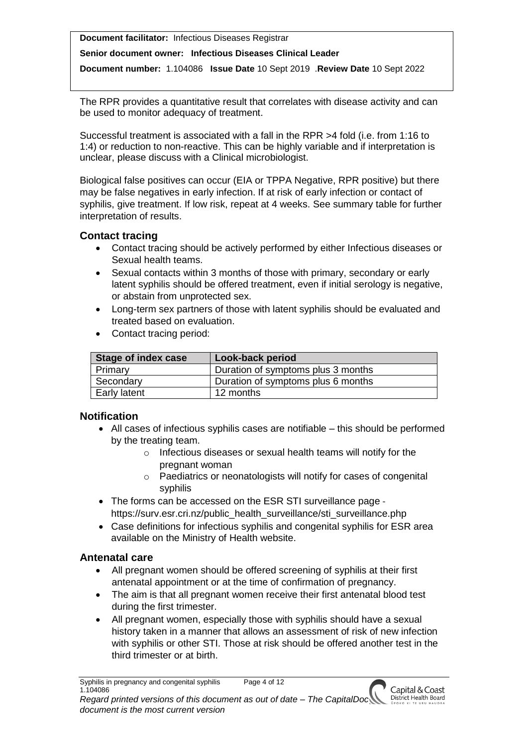#### **Senior document owner: Infectious Diseases Clinical Leader**

**Document number:** 1.104086 **Issue Date** 10 Sept 2019 .**Review Date** 10 Sept 2022

The RPR provides a quantitative result that correlates with disease activity and can be used to monitor adequacy of treatment.

Successful treatment is associated with a fall in the RPR >4 fold (i.e. from 1:16 to 1:4) or reduction to non-reactive. This can be highly variable and if interpretation is unclear, please discuss with a Clinical microbiologist.

Biological false positives can occur (EIA or TPPA Negative, RPR positive) but there may be false negatives in early infection. If at risk of early infection or contact of syphilis, give treatment. If low risk, repeat at 4 weeks. See summary table for further interpretation of results.

## **Contact tracing**

- Contact tracing should be actively performed by either Infectious diseases or Sexual health teams.
- Sexual contacts within 3 months of those with primary, secondary or early latent syphilis should be offered treatment, even if initial serology is negative, or abstain from unprotected sex.
- Long-term sex partners of those with latent syphilis should be evaluated and treated based on evaluation.
- Contact tracing period:

| Stage of index case | Look-back period                   |
|---------------------|------------------------------------|
| Primary             | Duration of symptoms plus 3 months |
| Secondary           | Duration of symptoms plus 6 months |
| Early latent        | 12 months                          |

### **Notification**

- All cases of infectious syphilis cases are notifiable this should be performed by the treating team.
	- o Infectious diseases or sexual health teams will notify for the pregnant woman
	- o Paediatrics or neonatologists will notify for cases of congenital syphilis
- The forms can be accessed on the ESR STI surveillance page https://surv.esr.cri.nz/public\_health\_surveillance/sti\_surveillance.php
- Case definitions for infectious syphilis and congenital syphilis for ESR area available on the Ministry of Health website.

## **Antenatal care**

- All pregnant women should be offered screening of syphilis at their first antenatal appointment or at the time of confirmation of pregnancy.
- The aim is that all pregnant women receive their first antenatal blood test during the first trimester.
- All pregnant women, especially those with syphilis should have a sexual history taken in a manner that allows an assessment of risk of new infection with syphilis or other STI. Those at risk should be offered another test in the third trimester or at birth.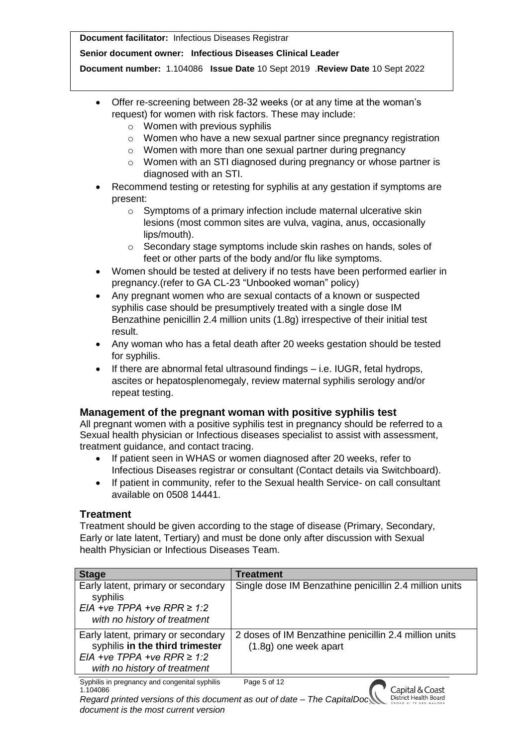#### **Senior document owner: Infectious Diseases Clinical Leader**

**Document number:** 1.104086 **Issue Date** 10 Sept 2019 .**Review Date** 10 Sept 2022

- Offer re-screening between 28-32 weeks (or at any time at the woman's request) for women with risk factors. These may include:
	- o Women with previous syphilis
	- o Women who have a new sexual partner since pregnancy registration
	- o Women with more than one sexual partner during pregnancy
	- o Women with an STI diagnosed during pregnancy or whose partner is diagnosed with an STI.
- Recommend testing or retesting for syphilis at any gestation if symptoms are present:
	- o Symptoms of a primary infection include maternal ulcerative skin lesions (most common sites are vulva, vagina, anus, occasionally lips/mouth).
	- o Secondary stage symptoms include skin rashes on hands, soles of feet or other parts of the body and/or flu like symptoms.
- Women should be tested at delivery if no tests have been performed earlier in pregnancy.(refer to GA CL-23 "Unbooked woman" policy)
- Any pregnant women who are sexual contacts of a known or suspected syphilis case should be presumptively treated with a single dose IM Benzathine penicillin 2.4 million units (1.8g) irrespective of their initial test result.
- Any woman who has a fetal death after 20 weeks gestation should be tested for syphilis.
- If there are abnormal fetal ultrasound findings i.e. IUGR, fetal hydrops, ascites or hepatosplenomegaly, review maternal syphilis serology and/or repeat testing.

### **Management of the pregnant woman with positive syphilis test**

All pregnant women with a positive syphilis test in pregnancy should be referred to a Sexual health physician or Infectious diseases specialist to assist with assessment, treatment guidance, and contact tracing.

- If patient seen in WHAS or women diagnosed after 20 weeks, refer to Infectious Diseases registrar or consultant (Contact details via Switchboard).
- If patient in community, refer to the Sexual health Service- on call consultant available on 0508 14441.

## **Treatment**

Treatment should be given according to the stage of disease (Primary, Secondary, Early or late latent, Tertiary) and must be done only after discussion with Sexual health Physician or Infectious Diseases Team.

| <b>Stage</b>                                   | Treatment                                              |
|------------------------------------------------|--------------------------------------------------------|
| Early latent, primary or secondary<br>syphilis | Single dose IM Benzathine penicillin 2.4 million units |
| EIA +ve TPPA +ve RPR $\geq 1.2$                |                                                        |
| with no history of treatment                   |                                                        |
| Early latent, primary or secondary             | 2 doses of IM Benzathine penicillin 2.4 million units  |
| syphilis in the third trimester                | $(1.8q)$ one week apart                                |
| EIA +ve TPPA +ve RPR $\geq 1.2$                |                                                        |
| with no history of treatment                   |                                                        |
| Cuphilip in prognancy and congonital ouphilip  | $DaoE \sim 42$                                         |

Capital & Coast

ohilis in pregnancy and congenital syphilis Page 5 of 12 1.104086

*Regard printed versions of this document as out of date – The CapitalDoc*  District Health Board *document is the most current version*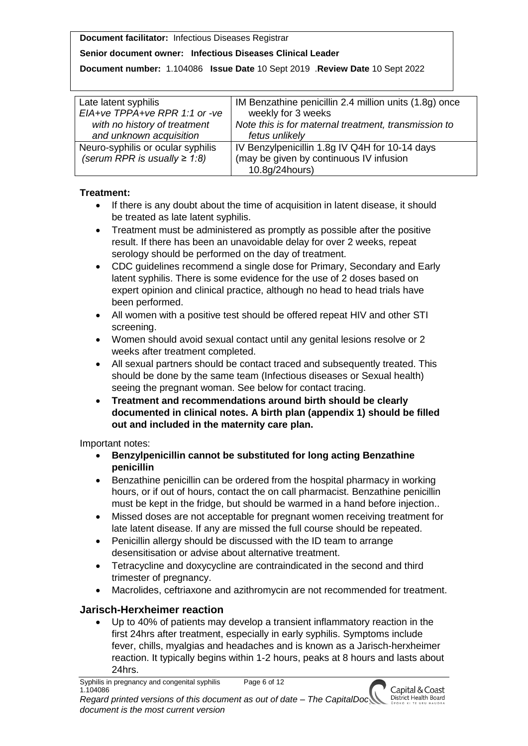## **Senior document owner: Infectious Diseases Clinical Leader**

**Document number:** 1.104086 **Issue Date** 10 Sept 2019 .**Review Date** 10 Sept 2022

| Late latent syphilis               | IM Benzathine penicillin 2.4 million units (1.8g) once |
|------------------------------------|--------------------------------------------------------|
| EIA+ve TPPA+ve RPR 1:1 or -ve      | weekly for 3 weeks                                     |
| with no history of treatment       | Note this is for maternal treatment, transmission to   |
| and unknown acquisition            | fetus unlikely                                         |
| Neuro-syphilis or ocular syphilis  | IV Benzylpenicillin 1.8g IV Q4H for 10-14 days         |
| (serum RPR is usually $\geq 1.8$ ) | (may be given by continuous IV infusion                |
|                                    | 10.8g/24hours)                                         |

## **Treatment:**

- If there is any doubt about the time of acquisition in latent disease, it should be treated as late latent syphilis.
- Treatment must be administered as promptly as possible after the positive result. If there has been an unavoidable delay for over 2 weeks, repeat serology should be performed on the day of treatment.
- CDC quidelines recommend a single dose for Primary, Secondary and Early latent syphilis. There is some evidence for the use of 2 doses based on expert opinion and clinical practice, although no head to head trials have been performed.
- All women with a positive test should be offered repeat HIV and other STI screening.
- Women should avoid sexual contact until any genital lesions resolve or 2 weeks after treatment completed.
- All sexual partners should be contact traced and subsequently treated. This should be done by the same team (Infectious diseases or Sexual health) seeing the pregnant woman. See below for contact tracing.
- **Treatment and recommendations around birth should be clearly documented in clinical notes. A birth plan (appendix 1) should be filled out and included in the maternity care plan.**

Important notes:

- **Benzylpenicillin cannot be substituted for long acting Benzathine penicillin**
- Benzathine penicillin can be ordered from the hospital pharmacy in working hours, or if out of hours, contact the on call pharmacist. Benzathine penicillin must be kept in the fridge, but should be warmed in a hand before injection..
- Missed doses are not acceptable for pregnant women receiving treatment for late latent disease. If any are missed the full course should be repeated.
- Penicillin allergy should be discussed with the ID team to arrange desensitisation or advise about alternative treatment.
- Tetracycline and doxycycline are contraindicated in the second and third trimester of pregnancy.
- Macrolides, ceftriaxone and azithromycin are not recommended for treatment.

## **Jarisch-Herxheimer reaction**

 Up to 40% of patients may develop a transient inflammatory reaction in the first 24hrs after treatment, especially in early syphilis. Symptoms include fever, chills, myalgias and headaches and is known as a Jarisch-herxheimer reaction. It typically begins within 1-2 hours, peaks at 8 hours and lasts about 24hrs.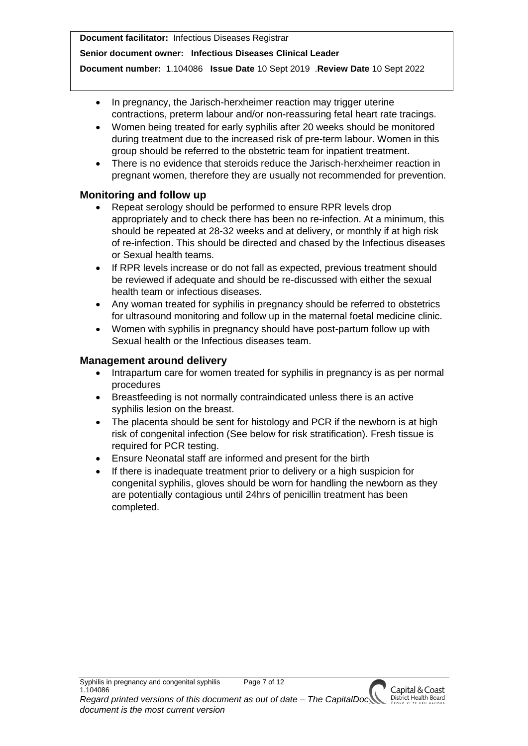#### **Senior document owner: Infectious Diseases Clinical Leader**

**Document number:** 1.104086 **Issue Date** 10 Sept 2019 .**Review Date** 10 Sept 2022

- In pregnancy, the Jarisch-herxheimer reaction may trigger uterine contractions, preterm labour and/or non-reassuring fetal heart rate tracings.
- Women being treated for early syphilis after 20 weeks should be monitored during treatment due to the increased risk of pre-term labour. Women in this group should be referred to the obstetric team for inpatient treatment.
- There is no evidence that steroids reduce the Jarisch-herxheimer reaction in pregnant women, therefore they are usually not recommended for prevention.

## **Monitoring and follow up**

- Repeat serology should be performed to ensure RPR levels drop appropriately and to check there has been no re-infection. At a minimum, this should be repeated at 28-32 weeks and at delivery, or monthly if at high risk of re-infection. This should be directed and chased by the Infectious diseases or Sexual health teams.
- If RPR levels increase or do not fall as expected, previous treatment should be reviewed if adequate and should be re-discussed with either the sexual health team or infectious diseases.
- Any woman treated for syphilis in pregnancy should be referred to obstetrics for ultrasound monitoring and follow up in the maternal foetal medicine clinic.
- Women with syphilis in pregnancy should have post-partum follow up with Sexual health or the Infectious diseases team.

## **Management around delivery**

- Intrapartum care for women treated for syphilis in pregnancy is as per normal procedures
- Breastfeeding is not normally contraindicated unless there is an active syphilis lesion on the breast.
- The placenta should be sent for histology and PCR if the newborn is at high risk of congenital infection (See below for risk stratification). Fresh tissue is required for PCR testing.
- Ensure Neonatal staff are informed and present for the birth
- If there is inadequate treatment prior to delivery or a high suspicion for congenital syphilis, gloves should be worn for handling the newborn as they are potentially contagious until 24hrs of penicillin treatment has been completed.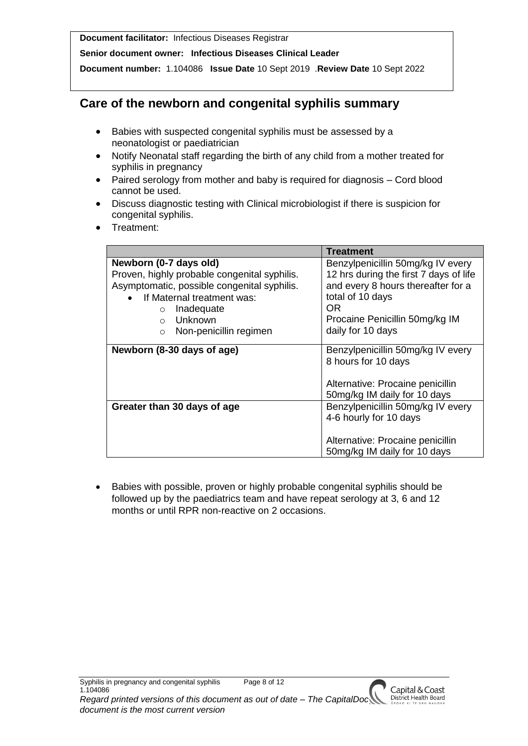**Senior document owner: Infectious Diseases Clinical Leader**

**Document number:** 1.104086 **Issue Date** 10 Sept 2019 .**Review Date** 10 Sept 2022

## **Care of the newborn and congenital syphilis summary**

- Babies with suspected congenital syphilis must be assessed by a neonatologist or paediatrician
- Notify Neonatal staff regarding the birth of any child from a mother treated for syphilis in pregnancy
- Paired serology from mother and baby is required for diagnosis Cord blood cannot be used.
- Discuss diagnostic testing with Clinical microbiologist if there is suspicion for congenital syphilis.
- Treatment:

|                                              | Treatment                              |
|----------------------------------------------|----------------------------------------|
| Newborn (0-7 days old)                       | Benzylpenicillin 50mg/kg IV every      |
| Proven, highly probable congenital syphilis. | 12 hrs during the first 7 days of life |
| Asymptomatic, possible congenital syphilis.  | and every 8 hours thereafter for a     |
| • If Maternal treatment was:                 | total of 10 days                       |
| Inadequate<br>$\circ$                        | OR.                                    |
| Unknown<br>$\bigcap$                         | Procaine Penicillin 50mg/kg IM         |
| Non-penicillin regimen<br>$\bigcirc$         | daily for 10 days                      |
|                                              |                                        |
| Newborn (8-30 days of age)                   | Benzylpenicillin 50mg/kg IV every      |
|                                              | 8 hours for 10 days                    |
|                                              | Alternative: Procaine penicillin       |
|                                              | 50mg/kg IM daily for 10 days           |
| Greater than 30 days of age                  | Benzylpenicillin 50mg/kg IV every      |
|                                              | 4-6 hourly for 10 days                 |
|                                              |                                        |
|                                              | Alternative: Procaine penicillin       |
|                                              | 50mg/kg IM daily for 10 days           |
|                                              |                                        |

• Babies with possible, proven or highly probable congenital syphilis should be followed up by the paediatrics team and have repeat serology at 3, 6 and 12 months or until RPR non-reactive on 2 occasions.

Capital & Coast<br>District Health Board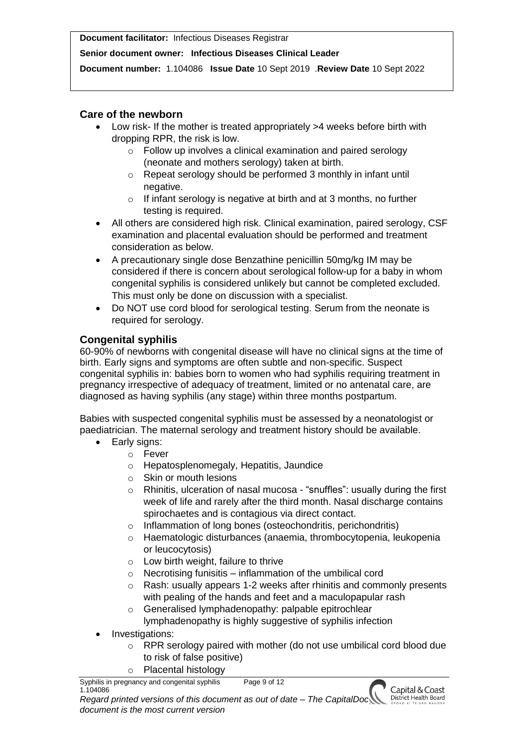#### **Senior document owner: Infectious Diseases Clinical Leader**

**Document number:** 1.104086 **Issue Date** 10 Sept 2019 .**Review Date** 10 Sept 2022

## **Care of the newborn**

- Low risk- If the mother is treated appropriately >4 weeks before birth with dropping RPR, the risk is low.
	- o Follow up involves a clinical examination and paired serology (neonate and mothers serology) taken at birth.
	- o Repeat serology should be performed 3 monthly in infant until negative.
	- o If infant serology is negative at birth and at 3 months, no further testing is required.
- All others are considered high risk. Clinical examination, paired serology, CSF examination and placental evaluation should be performed and treatment consideration as below.
- A precautionary single dose Benzathine penicillin 50mg/kg IM may be considered if there is concern about serological follow-up for a baby in whom congenital syphilis is considered unlikely but cannot be completed excluded. This must only be done on discussion with a specialist.
- Do NOT use cord blood for serological testing. Serum from the neonate is required for serology.

## **Congenital syphilis**

60-90% of newborns with congenital disease will have no clinical signs at the time of birth. Early signs and symptoms are often subtle and non-specific. Suspect congenital syphilis in: babies born to women who had syphilis requiring treatment in pregnancy irrespective of adequacy of treatment, limited or no antenatal care, are diagnosed as having syphilis (any stage) within three months postpartum.

Babies with suspected congenital syphilis must be assessed by a neonatologist or paediatrician. The maternal serology and treatment history should be available.

- Early signs:
	- o Fever
	- o Hepatosplenomegaly, Hepatitis, Jaundice
	- o Skin or mouth lesions
	- o Rhinitis, ulceration of nasal mucosa "snuffles": usually during the first week of life and rarely after the third month. Nasal discharge contains spirochaetes and is contagious via direct contact.
	- o Inflammation of long bones (osteochondritis, perichondritis)
	- o Haematologic disturbances (anaemia, thrombocytopenia, leukopenia or leucocytosis)
	- o Low birth weight, failure to thrive
	- $\circ$  Necrotising funisitis inflammation of the umbilical cord
	- o Rash: usually appears 1-2 weeks after rhinitis and commonly presents with pealing of the hands and feet and a maculopapular rash
	- o Generalised lymphadenopathy: palpable epitrochlear lymphadenopathy is highly suggestive of syphilis infection
- Investigations:
	- o RPR serology paired with mother (do not use umbilical cord blood due to risk of false positive)
	- o Placental histology

Syphilis in pregnancy and congenital syphilis Page 9 of 12 1.104086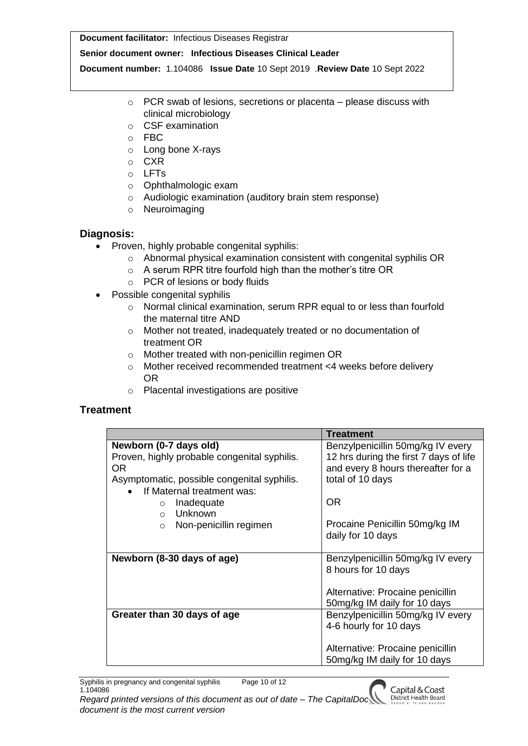#### **Senior document owner: Infectious Diseases Clinical Leader**

**Document number:** 1.104086 **Issue Date** 10 Sept 2019 .**Review Date** 10 Sept 2022

- $\circ$  PCR swab of lesions, secretions or placenta please discuss with clinical microbiology
- o CSF examination
- o FBC
- o Long bone X-rays
- o CXR
- o LFTs
- o Ophthalmologic exam
- o Audiologic examination (auditory brain stem response)
- o Neuroimaging

## **Diagnosis:**

- Proven, highly probable congenital syphilis:
	- o Abnormal physical examination consistent with congenital syphilis OR
	- o A serum RPR titre fourfold high than the mother's titre OR
	- o PCR of lesions or body fluids
- Possible congenital syphilis
	- o Normal clinical examination, serum RPR equal to or less than fourfold the maternal titre AND
	- o Mother not treated, inadequately treated or no documentation of treatment OR
	- o Mother treated with non-penicillin regimen OR
	- o Mother received recommended treatment <4 weeks before delivery OR
	- o Placental investigations are positive

## **Treatment**

|                                              | <b>Treatment</b>                       |
|----------------------------------------------|----------------------------------------|
| Newborn (0-7 days old)                       | Benzylpenicillin 50mg/kg IV every      |
| Proven, highly probable congenital syphilis. | 12 hrs during the first 7 days of life |
| OR.                                          | and every 8 hours thereafter for a     |
| Asymptomatic, possible congenital syphilis.  | total of 10 days                       |
| If Maternal treatment was:                   |                                        |
| Inadequate<br>$\circ$                        | <b>OR</b>                              |
| Unknown<br>$\Omega$                          |                                        |
| Non-penicillin regimen<br>$\circ$            | Procaine Penicillin 50mg/kg IM         |
|                                              | daily for 10 days                      |
|                                              |                                        |
| Newborn (8-30 days of age)                   | Benzylpenicillin 50mg/kg IV every      |
|                                              | 8 hours for 10 days                    |
|                                              |                                        |
|                                              | Alternative: Procaine penicillin       |
|                                              | 50mg/kg IM daily for 10 days           |
| Greater than 30 days of age                  | Benzylpenicillin 50mg/kg IV every      |
|                                              | 4-6 hourly for 10 days                 |
|                                              |                                        |
|                                              | Alternative: Procaine penicillin       |
|                                              | 50mg/kg IM daily for 10 days           |

Syphilis in pregnancy and congenital syphilis Page 10 of 12 1.104086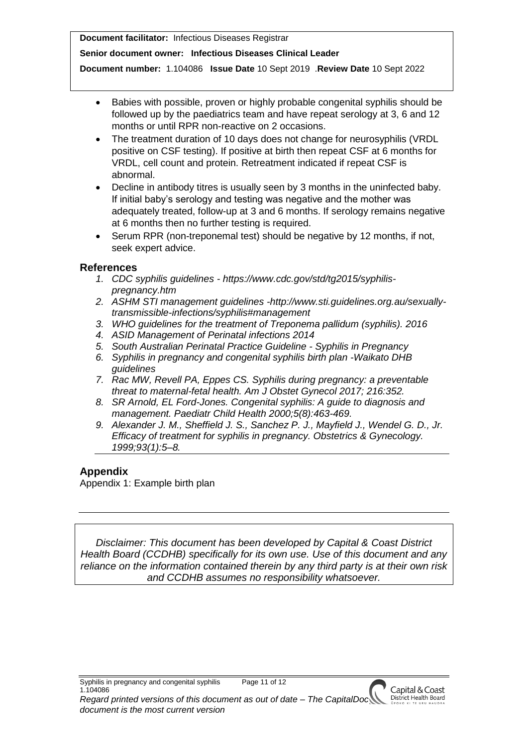#### **Senior document owner: Infectious Diseases Clinical Leader**

**Document number:** 1.104086 **Issue Date** 10 Sept 2019 .**Review Date** 10 Sept 2022

- Babies with possible, proven or highly probable congenital syphilis should be followed up by the paediatrics team and have repeat serology at 3, 6 and 12 months or until RPR non-reactive on 2 occasions.
- The treatment duration of 10 days does not change for neurosyphilis (VRDL positive on CSF testing). If positive at birth then repeat CSF at 6 months for VRDL, cell count and protein. Retreatment indicated if repeat CSF is abnormal.
- Decline in antibody titres is usually seen by 3 months in the uninfected baby. If initial baby's serology and testing was negative and the mother was adequately treated, follow-up at 3 and 6 months. If serology remains negative at 6 months then no further testing is required.
- Serum RPR (non-treponemal test) should be negative by 12 months, if not, seek expert advice.

### **References**

- *1. CDC syphilis guidelines - https://www.cdc.gov/std/tg2015/syphilispregnancy.htm*
- *2. ASHM STI management guidelines -http://www.sti.guidelines.org.au/sexuallytransmissible-infections/syphilis#management*
- *3. WHO guidelines for the treatment of Treponema pallidum (syphilis). 2016*
- *4. ASID Management of Perinatal infections 2014*
- *5. South Australian Perinatal Practice Guideline - Syphilis in Pregnancy*
- *6. Syphilis in pregnancy and congenital syphilis birth plan -Waikato DHB guidelines*
- *7. Rac MW, Revell PA, Eppes CS. Syphilis during pregnancy: a preventable threat to maternal-fetal health. Am J Obstet Gynecol 2017; 216:352.*
- *8. SR Arnold, EL Ford-Jones. Congenital syphilis: A guide to diagnosis and management. Paediatr Child Health 2000;5(8):463-469.*
- *9. Alexander J. M., Sheffield J. S., Sanchez P. J., Mayfield J., Wendel G. D., Jr. Efficacy of treatment for syphilis in pregnancy. Obstetrics & Gynecology. 1999;93(1):5–8.*

### **Appendix**

Appendix 1: Example birth plan

*Disclaimer: This document has been developed by Capital & Coast District Health Board (CCDHB) specifically for its own use. Use of this document and any reliance on the information contained therein by any third party is at their own risk and CCDHB assumes no responsibility whatsoever.*